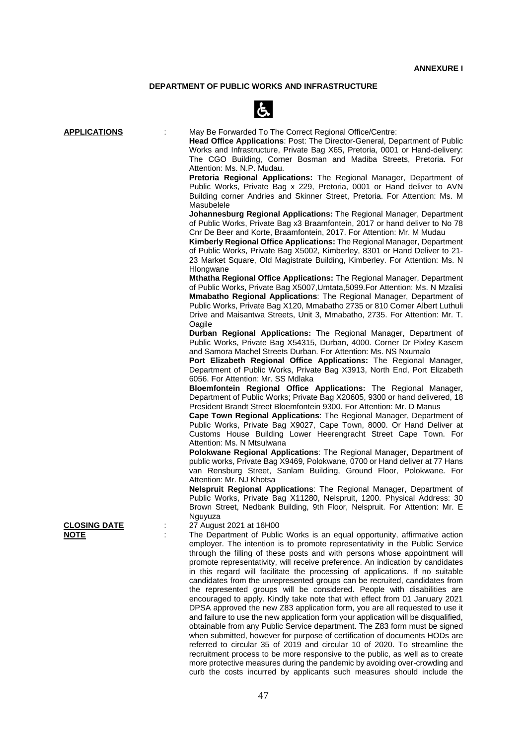### **DEPARTMENT OF PUBLIC WORKS AND INFRASTRUCTURE**



| <b>APPLICATIONS</b> | May Be Forwarded To The Correct Regional Office/Centre:<br>Head Office Applications: Post: The Director-General, Department of Public<br>Works and Infrastructure, Private Bag X65, Pretoria, 0001 or Hand-delivery:<br>The CGO Building, Corner Bosman and Madiba Streets, Pretoria. For<br>Attention: Ms. N.P. Mudau.<br>Pretoria Regional Applications: The Regional Manager, Department of<br>Public Works, Private Bag x 229, Pretoria, 0001 or Hand deliver to AVN<br>Building corner Andries and Skinner Street, Pretoria. For Attention: Ms. M.<br>Masubelele<br>Johannesburg Regional Applications: The Regional Manager, Department<br>of Public Works, Private Bag x3 Braamfontein, 2017 or hand deliver to No 78<br>Cnr De Beer and Korte, Braamfontein, 2017. For Attention: Mr. M Mudau<br><b>Kimberly Regional Office Applications:</b> The Regional Manager, Department<br>of Public Works, Private Bag X5002, Kimberley, 8301 or Hand Deliver to 21-<br>23 Market Square, Old Magistrate Building, Kimberley. For Attention: Ms. N<br>Hlongwane<br>Mthatha Regional Office Applications: The Regional Manager, Department<br>of Public Works, Private Bag X5007, Umtata, 5099. For Attention: Ms. N Mzalisi<br><b>Mmabatho Regional Applications:</b> The Regional Manager, Department of<br>Public Works, Private Bag X120, Mmabatho 2735 or 810 Corner Albert Luthuli<br>Drive and Maisantwa Streets, Unit 3, Mmabatho, 2735. For Attention: Mr. T.<br>Oagile<br>Durban Regional Applications: The Regional Manager, Department of<br>Public Works, Private Bag X54315, Durban, 4000. Corner Dr Pixley Kasem<br>and Samora Machel Streets Durban. For Attention: Ms. NS Nxumalo<br>Port Elizabeth Regional Office Applications: The Regional Manager,<br>Department of Public Works, Private Bag X3913, North End, Port Elizabeth<br>6056. For Attention: Mr. SS Mdlaka<br>Bloemfontein Regional Office Applications: The Regional Manager,<br>Department of Public Works; Private Bag X20605, 9300 or hand delivered, 18<br>President Brandt Street Bloemfontein 9300. For Attention: Mr. D Manus<br>Cape Town Regional Applications: The Regional Manager, Department of<br>Public Works, Private Bag X9027, Cape Town, 8000. Or Hand Deliver at<br>Customs House Building Lower Heerengracht Street Cape Town. For<br>Attention: Ms. N Mtsulwana<br>Polokwane Regional Applications: The Regional Manager, Department of<br>public works, Private Bag X9469, Polokwane, 0700 or Hand deliver at 77 Hans<br>van Rensburg Street, Sanlam Building, Ground Floor, Polokwane. For<br>Attention: Mr. NJ Khotsa<br>Nelspruit Regional Applications: The Regional Manager, Department of<br>Public Works, Private Bag X11280, Nelspruit, 1200. Physical Address: 30<br>Brown Street, Nedbank Building, 9th Floor, Nelspruit. For Attention: Mr. E<br>Nguyuza |
|---------------------|-----------------------------------------------------------------------------------------------------------------------------------------------------------------------------------------------------------------------------------------------------------------------------------------------------------------------------------------------------------------------------------------------------------------------------------------------------------------------------------------------------------------------------------------------------------------------------------------------------------------------------------------------------------------------------------------------------------------------------------------------------------------------------------------------------------------------------------------------------------------------------------------------------------------------------------------------------------------------------------------------------------------------------------------------------------------------------------------------------------------------------------------------------------------------------------------------------------------------------------------------------------------------------------------------------------------------------------------------------------------------------------------------------------------------------------------------------------------------------------------------------------------------------------------------------------------------------------------------------------------------------------------------------------------------------------------------------------------------------------------------------------------------------------------------------------------------------------------------------------------------------------------------------------------------------------------------------------------------------------------------------------------------------------------------------------------------------------------------------------------------------------------------------------------------------------------------------------------------------------------------------------------------------------------------------------------------------------------------------------------------------------------------------------------------------------------------------------------------------------------------------------------------------------------------------------------------------------------------------------------------------------------------------------------------------------------------------------------------------------------------------------------------------------------------------------------------------------------------------------------------------|
| <b>CLOSING DATE</b> | 27 August 2021 at 16H00                                                                                                                                                                                                                                                                                                                                                                                                                                                                                                                                                                                                                                                                                                                                                                                                                                                                                                                                                                                                                                                                                                                                                                                                                                                                                                                                                                                                                                                                                                                                                                                                                                                                                                                                                                                                                                                                                                                                                                                                                                                                                                                                                                                                                                                                                                                                                                                                                                                                                                                                                                                                                                                                                                                                                                                                                                                     |
| <u>NOTE</u>         | The Department of Public Works is an equal opportunity, affirmative action<br>employer. The intention is to promote representativity in the Public Service<br>through the filling of these posts and with persons whose appointment will<br>promote representativity, will receive preference. An indication by candidates<br>in this regard will facilitate the processing of applications. If no suitable<br>candidates from the unrepresented groups can be recruited, candidates from<br>the represented groups will be considered. People with disabilities are<br>encouraged to apply. Kindly take note that with effect from 01 January 2021<br>DPSA approved the new Z83 application form, you are all requested to use it<br>and failure to use the new application form your application will be disqualified,<br>obtainable from any Public Service department. The Z83 form must be signed<br>when submitted, however for purpose of certification of documents HODs are<br>referred to circular 35 of 2019 and circular 10 of 2020. To streamline the<br>recruitment process to be more responsive to the public, as well as to create<br>more protective measures during the pandemic by avoiding over-crowding and                                                                                                                                                                                                                                                                                                                                                                                                                                                                                                                                                                                                                                                                                                                                                                                                                                                                                                                                                                                                                                                                                                                                                                                                                                                                                                                                                                                                                                                                                                                                                                                                                                           |

curb the costs incurred by applicants such measures should include the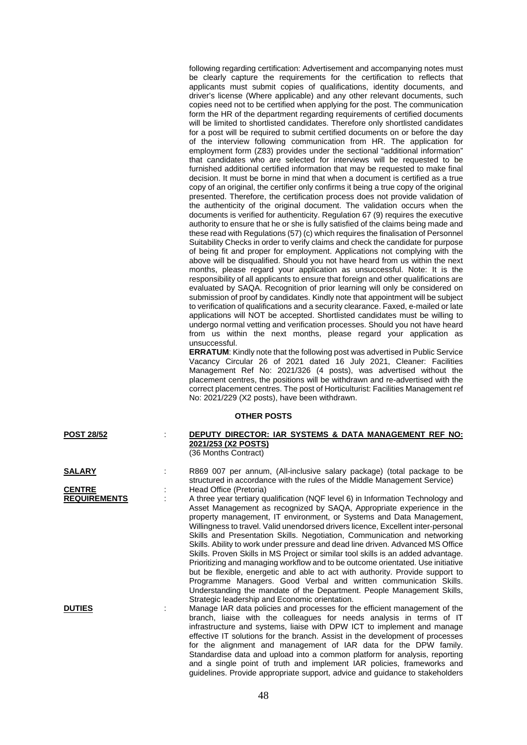following regarding certification: Advertisement and accompanying notes must be clearly capture the requirements for the certification to reflects that applicants must submit copies of qualifications, identity documents, and driver's license (Where applicable) and any other relevant documents, such copies need not to be certified when applying for the post. The communication form the HR of the department regarding requirements of certified documents will be limited to shortlisted candidates. Therefore only shortlisted candidates for a post will be required to submit certified documents on or before the day of the interview following communication from HR. The application for employment form (Z83) provides under the sectional "additional information" that candidates who are selected for interviews will be requested to be furnished additional certified information that may be requested to make final decision. It must be borne in mind that when a document is certified as a true copy of an original, the certifier only confirms it being a true copy of the original presented. Therefore, the certification process does not provide validation of the authenticity of the original document. The validation occurs when the documents is verified for authenticity. Regulation 67 (9) requires the executive authority to ensure that he or she is fully satisfied of the claims being made and these read with Regulations (57) (c) which requires the finalisation of Personnel Suitability Checks in order to verify claims and check the candidate for purpose of being fit and proper for employment. Applications not complying with the above will be disqualified. Should you not have heard from us within the next months, please regard your application as unsuccessful. Note: It is the responsibility of all applicants to ensure that foreign and other qualifications are evaluated by SAQA. Recognition of prior learning will only be considered on submission of proof by candidates. Kindly note that appointment will be subject to verification of qualifications and a security clearance. Faxed, e-mailed or late applications will NOT be accepted. Shortlisted candidates must be willing to undergo normal vetting and verification processes. Should you not have heard from us within the next months, please regard your application as unsuccessful.

**ERRATUM**: Kindly note that the following post was advertised in Public Service Vacancy Circular 26 of 2021 dated 16 July 2021, Cleaner: Facilities Management Ref No: 2021/326 (4 posts), was advertised without the placement centres, the positions will be withdrawn and re-advertised with the correct placement centres. The post of Horticulturist: Facilities Management ref No: 2021/229 (X2 posts), have been withdrawn.

#### **OTHER POSTS**

| <b>POST 28/52</b>   | DEPUTY DIRECTOR: IAR SYSTEMS & DATA MANAGEMENT REF NO:                                                                                                                                                                                                                                                                                                                                                                                                                                                                                                                                                                                                                                                                                                                                                                                                                                        |
|---------------------|-----------------------------------------------------------------------------------------------------------------------------------------------------------------------------------------------------------------------------------------------------------------------------------------------------------------------------------------------------------------------------------------------------------------------------------------------------------------------------------------------------------------------------------------------------------------------------------------------------------------------------------------------------------------------------------------------------------------------------------------------------------------------------------------------------------------------------------------------------------------------------------------------|
|                     | 2021/253 (X2 POSTS)                                                                                                                                                                                                                                                                                                                                                                                                                                                                                                                                                                                                                                                                                                                                                                                                                                                                           |
|                     | (36 Months Contract)                                                                                                                                                                                                                                                                                                                                                                                                                                                                                                                                                                                                                                                                                                                                                                                                                                                                          |
| <u>SALARY</u>       | R869 007 per annum, (All-inclusive salary package) (total package to be<br>structured in accordance with the rules of the Middle Management Service)                                                                                                                                                                                                                                                                                                                                                                                                                                                                                                                                                                                                                                                                                                                                          |
| <b>CENTRE</b>       | Head Office (Pretoria)                                                                                                                                                                                                                                                                                                                                                                                                                                                                                                                                                                                                                                                                                                                                                                                                                                                                        |
| <b>REQUIREMENTS</b> | A three year tertiary qualification (NQF level 6) in Information Technology and<br>Asset Management as recognized by SAQA, Appropriate experience in the<br>property management, IT environment, or Systems and Data Management,<br>Willingness to travel. Valid unendorsed drivers licence, Excellent inter-personal<br>Skills and Presentation Skills. Negotiation, Communication and networking<br>Skills. Ability to work under pressure and dead line driven. Advanced MS Office<br>Skills. Proven Skills in MS Project or similar tool skills is an added advantage.<br>Prioritizing and managing workflow and to be outcome orientated. Use initiative<br>but be flexible, energetic and able to act with authority. Provide support to<br>Programme Managers. Good Verbal and written communication Skills.<br>Understanding the mandate of the Department. People Management Skills, |
| <b>DUTIES</b>       | Strategic leadership and Economic orientation.<br>Manage IAR data policies and processes for the efficient management of the<br>branch, liaise with the colleagues for needs analysis in terms of IT<br>infrastructure and systems, liaise with DPW ICT to implement and manage<br>effective IT solutions for the branch. Assist in the development of processes<br>for the alignment and management of IAR data for the DPW family.<br>Standardise data and upload into a common platform for analysis, reporting<br>and a single point of truth and implement IAR policies, frameworks and<br>quidelines. Provide appropriate support, advice and quidance to stakeholders                                                                                                                                                                                                                  |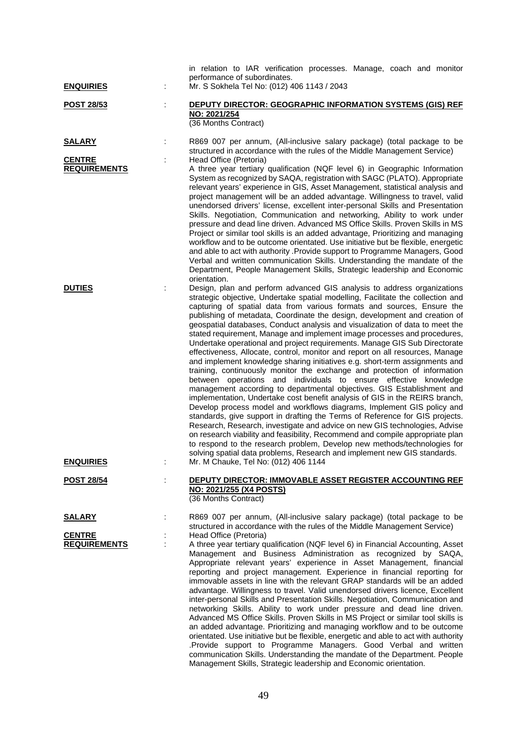| <b>ENQUIRIES</b>                                      | in relation to IAR verification processes. Manage, coach and monitor<br>performance of subordinates.<br>Mr. S Sokhela Tel No: (012) 406 1143 / 2043                                                                                                                                                                                                                                                                                                                                                                                                                                                                                                                                                                                                                                                                                                                                                                                                                                                                                                                                                                                                                                                                                                                                                                                                                                                                                                                                                                     |
|-------------------------------------------------------|-------------------------------------------------------------------------------------------------------------------------------------------------------------------------------------------------------------------------------------------------------------------------------------------------------------------------------------------------------------------------------------------------------------------------------------------------------------------------------------------------------------------------------------------------------------------------------------------------------------------------------------------------------------------------------------------------------------------------------------------------------------------------------------------------------------------------------------------------------------------------------------------------------------------------------------------------------------------------------------------------------------------------------------------------------------------------------------------------------------------------------------------------------------------------------------------------------------------------------------------------------------------------------------------------------------------------------------------------------------------------------------------------------------------------------------------------------------------------------------------------------------------------|
| <b>POST 28/53</b>                                     | <b>DEPUTY DIRECTOR: GEOGRAPHIC INFORMATION SYSTEMS (GIS) REF</b><br>NO: 2021/254<br>(36 Months Contract)                                                                                                                                                                                                                                                                                                                                                                                                                                                                                                                                                                                                                                                                                                                                                                                                                                                                                                                                                                                                                                                                                                                                                                                                                                                                                                                                                                                                                |
| <b>SALARY</b><br><b>CENTRE</b><br><b>REQUIREMENTS</b> | R869 007 per annum, (All-inclusive salary package) (total package to be<br>structured in accordance with the rules of the Middle Management Service)<br>Head Office (Pretoria)<br>A three year tertiary qualification (NQF level 6) in Geographic Information<br>System as recognized by SAQA, registration with SAGC (PLATO). Appropriate<br>relevant years' experience in GIS, Asset Management, statistical analysis and<br>project management will be an added advantage. Willingness to travel, valid<br>unendorsed drivers' license, excellent inter-personal Skills and Presentation<br>Skills. Negotiation, Communication and networking, Ability to work under<br>pressure and dead line driven. Advanced MS Office Skills. Proven Skills in MS                                                                                                                                                                                                                                                                                                                                                                                                                                                                                                                                                                                                                                                                                                                                                                |
|                                                       | Project or similar tool skills is an added advantage, Prioritizing and managing<br>workflow and to be outcome orientated. Use initiative but be flexible, energetic<br>and able to act with authority .Provide support to Programme Managers, Good<br>Verbal and written communication Skills. Understanding the mandate of the<br>Department, People Management Skills, Strategic leadership and Economic<br>orientation.                                                                                                                                                                                                                                                                                                                                                                                                                                                                                                                                                                                                                                                                                                                                                                                                                                                                                                                                                                                                                                                                                              |
| <b>DUTIES</b>                                         | Design, plan and perform advanced GIS analysis to address organizations<br>strategic objective, Undertake spatial modelling, Facilitate the collection and<br>capturing of spatial data from various formats and sources, Ensure the<br>publishing of metadata, Coordinate the design, development and creation of<br>geospatial databases, Conduct analysis and visualization of data to meet the<br>stated requirement, Manage and implement image processes and procedures,<br>Undertake operational and project requirements. Manage GIS Sub Directorate<br>effectiveness, Allocate, control, monitor and report on all resources, Manage<br>and implement knowledge sharing initiatives e.g. short-term assignments and<br>training, continuously monitor the exchange and protection of information<br>between operations and individuals to ensure effective knowledge<br>management according to departmental objectives. GIS Establishment and<br>implementation, Undertake cost benefit analysis of GIS in the REIRS branch,<br>Develop process model and workflows diagrams, Implement GIS policy and<br>standards, give support in drafting the Terms of Reference for GIS projects.<br>Research, Research, investigate and advice on new GIS technologies, Advise<br>on research viability and feasibility, Recommend and compile appropriate plan<br>to respond to the research problem, Develop new methods/technologies for<br>solving spatial data problems, Research and implement new GIS standards. |
| <b>ENQUIRIES</b>                                      | Mr. M Chauke, Tel No: (012) 406 1144                                                                                                                                                                                                                                                                                                                                                                                                                                                                                                                                                                                                                                                                                                                                                                                                                                                                                                                                                                                                                                                                                                                                                                                                                                                                                                                                                                                                                                                                                    |
| <b>POST 28/54</b>                                     | DEPUTY DIRECTOR: IMMOVABLE ASSET REGISTER ACCOUNTING REF<br>NO: 2021/255 (X4 POSTS)<br>(36 Months Contract)                                                                                                                                                                                                                                                                                                                                                                                                                                                                                                                                                                                                                                                                                                                                                                                                                                                                                                                                                                                                                                                                                                                                                                                                                                                                                                                                                                                                             |
| <b>SALARY</b>                                         | R869 007 per annum, (All-inclusive salary package) (total package to be<br>structured in accordance with the rules of the Middle Management Service)                                                                                                                                                                                                                                                                                                                                                                                                                                                                                                                                                                                                                                                                                                                                                                                                                                                                                                                                                                                                                                                                                                                                                                                                                                                                                                                                                                    |
| <b>CENTRE</b><br><b>REQUIREMENTS</b>                  | Head Office (Pretoria)<br>A three year tertiary qualification (NQF level 6) in Financial Accounting, Asset<br>Management and Business Administration as recognized by SAQA,<br>Appropriate relevant years' experience in Asset Management, financial<br>reporting and project management. Experience in financial reporting for<br>immovable assets in line with the relevant GRAP standards will be an added<br>advantage. Willingness to travel. Valid unendorsed drivers licence, Excellent<br>inter-personal Skills and Presentation Skills. Negotiation, Communication and<br>networking Skills. Ability to work under pressure and dead line driven.<br>Advanced MS Office Skills. Proven Skills in MS Project or similar tool skills is<br>an added advantage. Prioritizing and managing workflow and to be outcome<br>orientated. Use initiative but be flexible, energetic and able to act with authority<br>.Provide support to Programme Managers. Good Verbal and written<br>communication Skills. Understanding the mandate of the Department. People<br>Management Skills, Strategic leadership and Economic orientation.                                                                                                                                                                                                                                                                                                                                                                                 |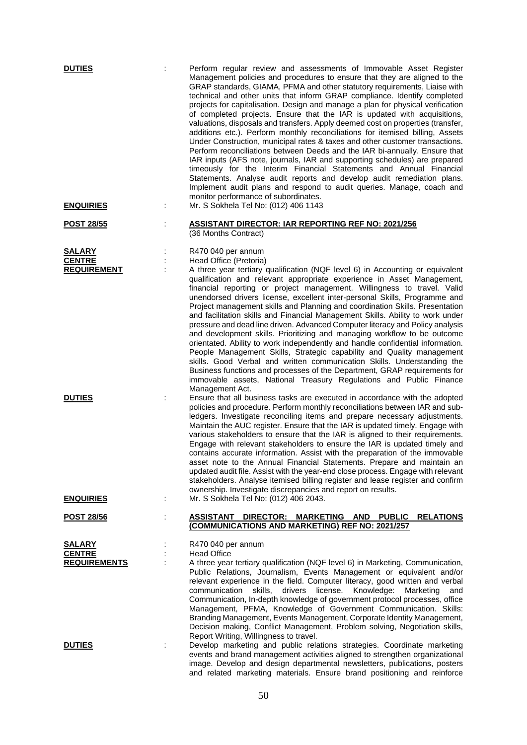| <b>DUTIES</b>                                         |   | Perform regular review and assessments of Immovable Asset Register<br>Management policies and procedures to ensure that they are aligned to the<br>GRAP standards, GIAMA, PFMA and other statutory requirements, Liaise with<br>technical and other units that inform GRAP compliance. Identify completed<br>projects for capitalisation. Design and manage a plan for physical verification<br>of completed projects. Ensure that the IAR is updated with acquisitions,<br>valuations, disposals and transfers. Apply deemed cost on properties (transfer,<br>additions etc.). Perform monthly reconciliations for itemised billing, Assets<br>Under Construction, municipal rates & taxes and other customer transactions.<br>Perform reconciliations between Deeds and the IAR bi-annually. Ensure that<br>IAR inputs (AFS note, journals, IAR and supporting schedules) are prepared<br>timeously for the Interim Financial Statements and Annual Financial<br>Statements. Analyse audit reports and develop audit remediation plans.<br>Implement audit plans and respond to audit queries. Manage, coach and<br>monitor performance of subordinates. |
|-------------------------------------------------------|---|------------------------------------------------------------------------------------------------------------------------------------------------------------------------------------------------------------------------------------------------------------------------------------------------------------------------------------------------------------------------------------------------------------------------------------------------------------------------------------------------------------------------------------------------------------------------------------------------------------------------------------------------------------------------------------------------------------------------------------------------------------------------------------------------------------------------------------------------------------------------------------------------------------------------------------------------------------------------------------------------------------------------------------------------------------------------------------------------------------------------------------------------------------|
| <b>ENQUIRIES</b>                                      | ÷ | Mr. S Sokhela Tel No: (012) 406 1143                                                                                                                                                                                                                                                                                                                                                                                                                                                                                                                                                                                                                                                                                                                                                                                                                                                                                                                                                                                                                                                                                                                       |
| <u>POST 28/55</u>                                     |   | <b>ASSISTANT DIRECTOR: IAR REPORTING REF NO: 2021/256</b><br>(36 Months Contract)                                                                                                                                                                                                                                                                                                                                                                                                                                                                                                                                                                                                                                                                                                                                                                                                                                                                                                                                                                                                                                                                          |
| <b>SALARY</b><br><b>CENTRE</b><br><b>REQUIREMENT</b>  |   | R470 040 per annum<br>Head Office (Pretoria)<br>A three year tertiary qualification (NQF level 6) in Accounting or equivalent<br>qualification and relevant appropriate experience in Asset Management,<br>financial reporting or project management. Willingness to travel. Valid<br>unendorsed drivers license, excellent inter-personal Skills, Programme and<br>Project management skills and Planning and coordination Skills. Presentation<br>and facilitation skills and Financial Management Skills. Ability to work under<br>pressure and dead line driven. Advanced Computer literacy and Policy analysis<br>and development skills. Prioritizing and managing workflow to be outcome<br>orientated. Ability to work independently and handle confidential information.<br>People Management Skills, Strategic capability and Quality management<br>skills. Good Verbal and written communication Skills. Understanding the<br>Business functions and processes of the Department, GRAP requirements for<br>immovable assets, National Treasury Regulations and Public Finance                                                                   |
| <b>DUTIES</b><br><b>ENQUIRIES</b>                     |   | Management Act.<br>Ensure that all business tasks are executed in accordance with the adopted<br>policies and procedure. Perform monthly reconciliations between IAR and sub-<br>ledgers. Investigate reconciling items and prepare necessary adjustments.<br>Maintain the AUC register. Ensure that the IAR is updated timely. Engage with<br>various stakeholders to ensure that the IAR is aligned to their requirements.<br>Engage with relevant stakeholders to ensure the IAR is updated timely and<br>contains accurate information. Assist with the preparation of the immovable<br>asset note to the Annual Financial Statements. Prepare and maintain an<br>updated audit file. Assist with the year-end close process. Engage with relevant<br>stakeholders. Analyse itemised billing register and lease register and confirm<br>ownership. Investigate discrepancies and report on results.<br>Mr. S Sokhela Tel No: (012) 406 2043.                                                                                                                                                                                                           |
| <u>POST 28/56</u>                                     |   | DIRECTOR: MARKETING AND<br><b>PUBLIC</b><br><b>RELATIONS</b><br><b>ASSISTANT</b>                                                                                                                                                                                                                                                                                                                                                                                                                                                                                                                                                                                                                                                                                                                                                                                                                                                                                                                                                                                                                                                                           |
|                                                       |   | (COMMUNICATIONS AND MARKETING) REF NO: 2021/257                                                                                                                                                                                                                                                                                                                                                                                                                                                                                                                                                                                                                                                                                                                                                                                                                                                                                                                                                                                                                                                                                                            |
| <b>SALARY</b><br><b>CENTRE</b><br><b>REQUIREMENTS</b> |   | R470 040 per annum<br><b>Head Office</b><br>A three year tertiary qualification (NQF level 6) in Marketing, Communication,<br>Public Relations, Journalism, Events Management or equivalent and/or<br>relevant experience in the field. Computer literacy, good written and verbal<br>license.<br>Knowledge:<br>communication<br>drivers<br>Marketing<br>skills,<br>and<br>Communication, In-depth knowledge of government protocol processes, office<br>Management, PFMA, Knowledge of Government Communication. Skills:<br>Branding Management, Events Management, Corporate Identity Management,<br>Decision making, Conflict Management, Problem solving, Negotiation skills,<br>Report Writing, Willingness to travel.                                                                                                                                                                                                                                                                                                                                                                                                                                |
| <b>DUTIES</b>                                         |   | Develop marketing and public relations strategies. Coordinate marketing<br>events and brand management activities aligned to strengthen organizational<br>image. Develop and design departmental newsletters, publications, posters<br>and related marketing materials. Ensure brand positioning and reinforce                                                                                                                                                                                                                                                                                                                                                                                                                                                                                                                                                                                                                                                                                                                                                                                                                                             |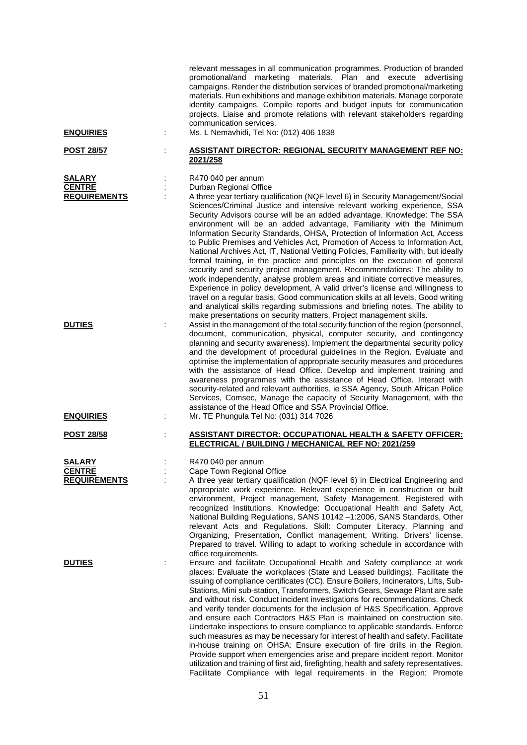|                                                       |   | relevant messages in all communication programmes. Production of branded<br>promotional/and marketing materials. Plan and execute advertising<br>campaigns. Render the distribution services of branded promotional/marketing<br>materials. Run exhibitions and manage exhibition materials. Manage corporate<br>identity campaigns. Compile reports and budget inputs for communication<br>projects. Liaise and promote relations with relevant stakeholders regarding<br>communication services.                                                                                                                                                                                                                                                                                                                                                                                                                                                                                                                                                                                                                                                                                           |
|-------------------------------------------------------|---|----------------------------------------------------------------------------------------------------------------------------------------------------------------------------------------------------------------------------------------------------------------------------------------------------------------------------------------------------------------------------------------------------------------------------------------------------------------------------------------------------------------------------------------------------------------------------------------------------------------------------------------------------------------------------------------------------------------------------------------------------------------------------------------------------------------------------------------------------------------------------------------------------------------------------------------------------------------------------------------------------------------------------------------------------------------------------------------------------------------------------------------------------------------------------------------------|
| <b>ENQUIRIES</b>                                      | ÷ | Ms. L Nemavhidi, Tel No: (012) 406 1838                                                                                                                                                                                                                                                                                                                                                                                                                                                                                                                                                                                                                                                                                                                                                                                                                                                                                                                                                                                                                                                                                                                                                      |
| <u>POST 28/57</u>                                     |   | <b>ASSISTANT DIRECTOR: REGIONAL SECURITY MANAGEMENT REF NO:</b><br>2021/258                                                                                                                                                                                                                                                                                                                                                                                                                                                                                                                                                                                                                                                                                                                                                                                                                                                                                                                                                                                                                                                                                                                  |
| SALARY<br><b>CENTRE</b><br><b>REQUIREMENTS</b>        |   | R470 040 per annum<br>Durban Regional Office<br>A three year tertiary qualification (NQF level 6) in Security Management/Social<br>Sciences/Criminal Justice and intensive relevant working experience, SSA<br>Security Advisors course will be an added advantage. Knowledge: The SSA<br>environment will be an added advantage, Familiarity with the Minimum<br>Information Security Standards, OHSA, Protection of Information Act, Access<br>to Public Premises and Vehicles Act, Promotion of Access to Information Act,<br>National Archives Act, IT, National Vetting Policies, Familiarity with, but ideally<br>formal training, in the practice and principles on the execution of general<br>security and security project management. Recommendations: The ability to<br>work independently, analyse problem areas and initiate corrective measures,<br>Experience in policy development, A valid driver's license and willingness to<br>travel on a regular basis, Good communication skills at all levels, Good writing<br>and analytical skills regarding submissions and briefing notes, The ability to<br>make presentations on security matters. Project management skills. |
| <b>DUTIES</b>                                         |   | Assist in the management of the total security function of the region (personnel,<br>document, communication, physical, computer security, and contingency<br>planning and security awareness). Implement the departmental security policy<br>and the development of procedural guidelines in the Region. Evaluate and<br>optimise the implementation of appropriate security measures and procedures<br>with the assistance of Head Office. Develop and implement training and<br>awareness programmes with the assistance of Head Office. Interact with<br>security-related and relevant authorities, ie SSA Agency, South African Police<br>Services, Comsec, Manage the capacity of Security Management, with the<br>assistance of the Head Office and SSA Provincial Office.                                                                                                                                                                                                                                                                                                                                                                                                            |
| <b>ENQUIRIES</b>                                      |   | Mr. TE Phungula Tel No: (031) 314 7026                                                                                                                                                                                                                                                                                                                                                                                                                                                                                                                                                                                                                                                                                                                                                                                                                                                                                                                                                                                                                                                                                                                                                       |
| <b>POST 28/58</b>                                     |   | ASSISTANT DIRECTOR: OCCUPATIONAL HEALTH & SAFETY OFFICER:<br><b>ELECTRICAL / BUILDING / MECHANICAL REF NO: 2021/259</b>                                                                                                                                                                                                                                                                                                                                                                                                                                                                                                                                                                                                                                                                                                                                                                                                                                                                                                                                                                                                                                                                      |
| <u>SALARY</u><br><b>CENTRE</b><br><b>REQUIREMENTS</b> |   | R470 040 per annum<br>Cape Town Regional Office<br>A three year tertiary qualification (NQF level 6) in Electrical Engineering and<br>appropriate work experience. Relevant experience in construction or built<br>environment, Project management, Safety Management. Registered with<br>recognized Institutions. Knowledge: Occupational Health and Safety Act,<br>National Building Regulations, SANS 10142-1:2006, SANS Standards, Other<br>relevant Acts and Regulations. Skill: Computer Literacy, Planning and<br>Organizing, Presentation, Conflict management, Writing. Drivers' license.<br>Prepared to travel. Willing to adapt to working schedule in accordance with<br>office requirements.                                                                                                                                                                                                                                                                                                                                                                                                                                                                                    |
| <b>DUTIES</b>                                         | ÷ | Ensure and facilitate Occupational Health and Safety compliance at work<br>places: Evaluate the workplaces (State and Leased buildings). Facilitate the<br>issuing of compliance certificates (CC). Ensure Boilers, Incinerators, Lifts, Sub-<br>Stations, Mini sub-station, Transformers, Switch Gears, Sewage Plant are safe<br>and without risk. Conduct incident investigations for recommendations. Check<br>and verify tender documents for the inclusion of H&S Specification. Approve<br>and ensure each Contractors H&S Plan is maintained on construction site.<br>Undertake inspections to ensure compliance to applicable standards. Enforce<br>such measures as may be necessary for interest of health and safety. Facilitate<br>in-house training on OHSA: Ensure execution of fire drills in the Region.<br>Provide support when emergencies arise and prepare incident report. Monitor<br>utilization and training of first aid, firefighting, health and safety representatives.<br>Facilitate Compliance with legal requirements in the Region: Promote                                                                                                                   |

51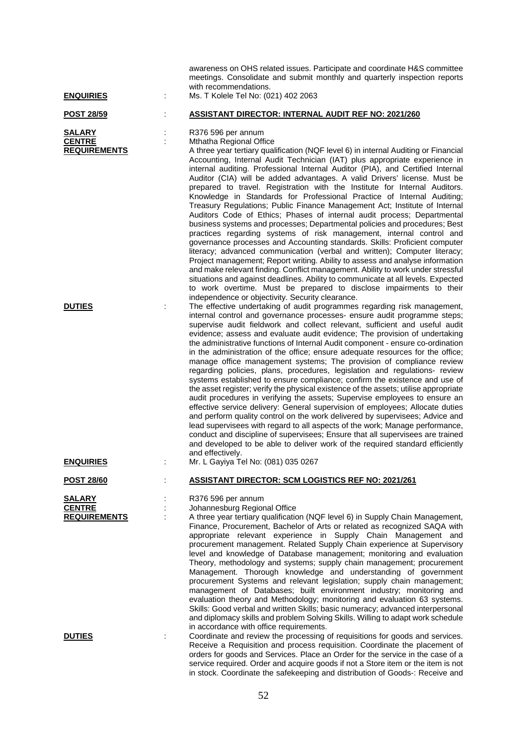| <b>ENQUIRIES</b>                                      | awareness on OHS related issues. Participate and coordinate H&S committee<br>meetings. Consolidate and submit monthly and quarterly inspection reports<br>with recommendations.<br>Ms. T Kolele Tel No: (021) 402 2063                                                                                                                                                                                                                                                                                                                                                                                                                                                                                                                                                                                                                                                                                                                                                                                                                                                                                                                                                                                                                                                                                                                                                                       |
|-------------------------------------------------------|----------------------------------------------------------------------------------------------------------------------------------------------------------------------------------------------------------------------------------------------------------------------------------------------------------------------------------------------------------------------------------------------------------------------------------------------------------------------------------------------------------------------------------------------------------------------------------------------------------------------------------------------------------------------------------------------------------------------------------------------------------------------------------------------------------------------------------------------------------------------------------------------------------------------------------------------------------------------------------------------------------------------------------------------------------------------------------------------------------------------------------------------------------------------------------------------------------------------------------------------------------------------------------------------------------------------------------------------------------------------------------------------|
| <u>POST 28/59</u>                                     | <b>ASSISTANT DIRECTOR: INTERNAL AUDIT REF NO: 2021/260</b>                                                                                                                                                                                                                                                                                                                                                                                                                                                                                                                                                                                                                                                                                                                                                                                                                                                                                                                                                                                                                                                                                                                                                                                                                                                                                                                                   |
| <b>SALARY</b><br><b>CENTRE</b><br><b>REQUIREMENTS</b> | R376 596 per annum<br>Mthatha Regional Office<br>A three year tertiary qualification (NQF level 6) in internal Auditing or Financial<br>Accounting, Internal Audit Technician (IAT) plus appropriate experience in<br>internal auditing. Professional Internal Auditor (PIA), and Certified Internal<br>Auditor (CIA) will be added advantages. A valid Drivers' license. Must be<br>prepared to travel. Registration with the Institute for Internal Auditors.<br>Knowledge in Standards for Professional Practice of Internal Auditing;<br>Treasury Regulations; Public Finance Management Act; Institute of Internal<br>Auditors Code of Ethics; Phases of internal audit process; Departmental<br>business systems and processes; Departmental policies and procedures; Best<br>practices regarding systems of risk management, internal control and<br>governance processes and Accounting standards. Skills: Proficient computer<br>literacy; advanced communication (verbal and written); Computer literacy;<br>Project management; Report writing. Ability to assess and analyse information<br>and make relevant finding. Conflict management. Ability to work under stressful<br>situations and against deadlines. Ability to communicate at all levels. Expected<br>to work overtime. Must be prepared to disclose impairments to their                                           |
| <b>DUTIES</b>                                         | independence or objectivity. Security clearance.<br>The effective undertaking of audit programmes regarding risk management,<br>internal control and governance processes- ensure audit programme steps;<br>supervise audit fieldwork and collect relevant, sufficient and useful audit<br>evidence; assess and evaluate audit evidence; The provision of undertaking<br>the administrative functions of Internal Audit component - ensure co-ordination<br>in the administration of the office; ensure adequate resources for the office;<br>manage office management systems; The provision of compliance review<br>regarding policies, plans, procedures, legislation and regulations- review<br>systems established to ensure compliance; confirm the existence and use of<br>the asset register; verify the physical existence of the assets; utilise appropriate<br>audit procedures in verifying the assets; Supervise employees to ensure an<br>effective service delivery: General supervision of employees; Allocate duties<br>and perform quality control on the work delivered by supervisees; Advice and<br>lead supervisees with regard to all aspects of the work; Manage performance,<br>conduct and discipline of supervisees; Ensure that all supervisees are trained<br>and developed to be able to deliver work of the required standard efficiently<br>and effectively. |
| <b>ENQUIRIES</b>                                      | Mr. L Gayiya Tel No: (081) 035 0267                                                                                                                                                                                                                                                                                                                                                                                                                                                                                                                                                                                                                                                                                                                                                                                                                                                                                                                                                                                                                                                                                                                                                                                                                                                                                                                                                          |
| <b>POST 28/60</b>                                     | <b>ASSISTANT DIRECTOR: SCM LOGISTICS REF NO: 2021/261</b>                                                                                                                                                                                                                                                                                                                                                                                                                                                                                                                                                                                                                                                                                                                                                                                                                                                                                                                                                                                                                                                                                                                                                                                                                                                                                                                                    |
| <b>SALARY</b><br><b>CENTRE</b><br><b>REQUIREMENTS</b> | R376 596 per annum<br>Johannesburg Regional Office<br>A three year tertiary qualification (NQF level 6) in Supply Chain Management,<br>Finance, Procurement, Bachelor of Arts or related as recognized SAQA with<br>appropriate relevant experience in Supply Chain Management and<br>procurement management. Related Supply Chain experience at Supervisory<br>level and knowledge of Database management; monitoring and evaluation<br>Theory, methodology and systems; supply chain management; procurement<br>Management. Thorough knowledge and understanding of government<br>procurement Systems and relevant legislation; supply chain management;<br>management of Databases; built environment industry; monitoring and<br>evaluation theory and Methodology; monitoring and evaluation 63 systems.<br>Skills: Good verbal and written Skills; basic numeracy; advanced interpersonal<br>and diplomacy skills and problem Solving Skills. Willing to adapt work schedule<br>in accordance with office requirements.                                                                                                                                                                                                                                                                                                                                                                |
| <b>DUTIES</b>                                         | Coordinate and review the processing of requisitions for goods and services.<br>Receive a Requisition and process requisition. Coordinate the placement of<br>orders for goods and Services. Place an Order for the service in the case of a<br>service required. Order and acquire goods if not a Store item or the item is not<br>in stock. Coordinate the safekeeping and distribution of Goods-: Receive and                                                                                                                                                                                                                                                                                                                                                                                                                                                                                                                                                                                                                                                                                                                                                                                                                                                                                                                                                                             |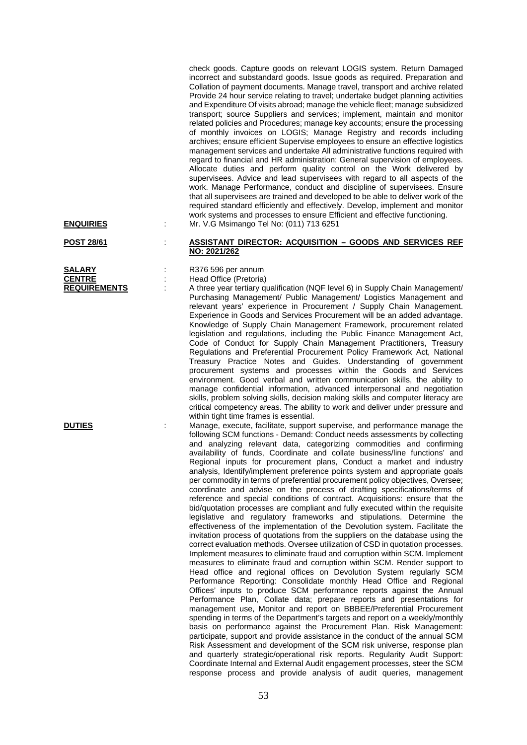check goods. Capture goods on relevant LOGIS system. Return Damaged incorrect and substandard goods. Issue goods as required. Preparation and Collation of payment documents. Manage travel, transport and archive related Provide 24 hour service relating to travel; undertake budget planning activities and Expenditure Of visits abroad; manage the vehicle fleet; manage subsidized transport; source Suppliers and services; implement, maintain and monitor related policies and Procedures; manage key accounts; ensure the processing of monthly invoices on LOGIS; Manage Registry and records including archives; ensure efficient Supervise employees to ensure an effective logistics management services and undertake All administrative functions required with regard to financial and HR administration: General supervision of employees. Allocate duties and perform quality control on the Work delivered by supervisees. Advice and lead supervisees with regard to all aspects of the work. Manage Performance, conduct and discipline of supervisees. Ensure that all supervisees are trained and developed to be able to deliver work of the required standard efficiently and effectively. Develop, implement and monitor work systems and processes to ensure Efficient and effective functioning. **ENQUIRIES** : Mr. V.G Msimango Tel No: (011) 713 6251

#### **POST 28/61** : **ASSISTANT DIRECTOR: ACQUISITION – GOODS AND SERVICES REF NO: 2021/262**

**SALARY** : R376 596 per annum<br> **CENTRE** : Head Office (Pretoria) **CENTRE** : Head Office (Pretoria)<br> **REQUIREMENTS** : A three year tertiary of

A three year tertiary qualification (NQF level 6) in Supply Chain Management/ Purchasing Management/ Public Management/ Logistics Management and relevant years' experience in Procurement / Supply Chain Management. Experience in Goods and Services Procurement will be an added advantage. Knowledge of Supply Chain Management Framework, procurement related legislation and regulations, including the Public Finance Management Act, Code of Conduct for Supply Chain Management Practitioners, Treasury Regulations and Preferential Procurement Policy Framework Act, National Treasury Practice Notes and Guides. Understanding of government procurement systems and processes within the Goods and Services environment. Good verbal and written communication skills, the ability to manage confidential information, advanced interpersonal and negotiation skills, problem solving skills, decision making skills and computer literacy are critical competency areas. The ability to work and deliver under pressure and within tight time frames is essential.

**DUTIES** : Manage, execute, facilitate, support supervise, and performance manage the following SCM functions - Demand: Conduct needs assessments by collecting and analyzing relevant data, categorizing commodities and confirming availability of funds, Coordinate and collate business/line functions' and Regional inputs for procurement plans, Conduct a market and industry analysis, Identify/implement preference points system and appropriate goals per commodity in terms of preferential procurement policy objectives, Oversee; coordinate and advise on the process of drafting specifications/terms of reference and special conditions of contract. Acquisitions: ensure that the bid/quotation processes are compliant and fully executed within the requisite legislative and regulatory frameworks and stipulations. Determine the effectiveness of the implementation of the Devolution system. Facilitate the invitation process of quotations from the suppliers on the database using the correct evaluation methods. Oversee utilization of CSD in quotation processes. Implement measures to eliminate fraud and corruption within SCM. Implement measures to eliminate fraud and corruption within SCM. Render support to Head office and regional offices on Devolution System regularly SCM Performance Reporting: Consolidate monthly Head Office and Regional Offices' inputs to produce SCM performance reports against the Annual Performance Plan, Collate data; prepare reports and presentations for management use, Monitor and report on BBBEE/Preferential Procurement spending in terms of the Department's targets and report on a weekly/monthly basis on performance against the Procurement Plan. Risk Management: participate, support and provide assistance in the conduct of the annual SCM Risk Assessment and development of the SCM risk universe, response plan and quarterly strategic/operational risk reports. Regularity Audit Support: Coordinate Internal and External Audit engagement processes, steer the SCM response process and provide analysis of audit queries, management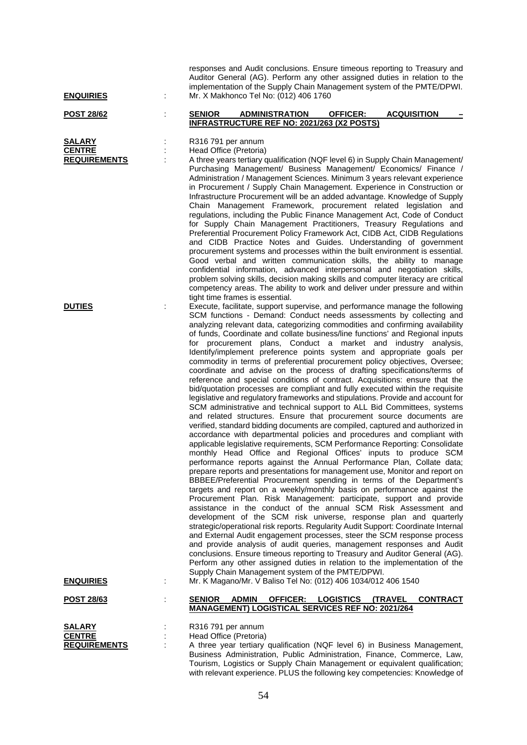| <b>SALARY</b>       |
|---------------------|
| <b>CENTRE</b>       |
| <b>REQUIREMENTS</b> |

responses and Audit conclusions. Ensure timeous reporting to Treasury and Auditor General (AG). Perform any other assigned duties in relation to the implementation of the Supply Chain Management system of the PMTE/DPWI. **ENQUIRIES** : Mr. X Makhonco Tel No: (012) 406 1760

#### **POST 28/62** : **SENIOR ADMINISTRATION OFFICER: ACQUISITION – INFRASTRUCTURE REF NO: 2021/263 (X2 POSTS)**

**SALARY** : R316 791 per annum **CENTRE :** Head Office (Pretoria)

**REPUIREM:** A three years tertiary qualification (NQF level 6) in Supply Chain Management/ Purchasing Management/ Business Management/ Economics/ Finance / Administration / Management Sciences. Minimum 3 years relevant experience in Procurement / Supply Chain Management. Experience in Construction or Infrastructure Procurement will be an added advantage. Knowledge of Supply Chain Management Framework, procurement related legislation and regulations, including the Public Finance Management Act, Code of Conduct for Supply Chain Management Practitioners, Treasury Regulations and Preferential Procurement Policy Framework Act, CIDB Act, CIDB Regulations and CIDB Practice Notes and Guides. Understanding of government procurement systems and processes within the built environment is essential. Good verbal and written communication skills, the ability to manage confidential information, advanced interpersonal and negotiation skills, problem solving skills, decision making skills and computer literacy are critical competency areas. The ability to work and deliver under pressure and within tight time frames is essential.

**DUTIES Execute, facilitate, support supervise, and performance manage the following** SCM functions - Demand: Conduct needs assessments by collecting and analyzing relevant data, categorizing commodities and confirming availability of funds, Coordinate and collate business/line functions' and Regional inputs for procurement plans, Conduct a market and industry analysis, Identify/implement preference points system and appropriate goals per commodity in terms of preferential procurement policy objectives, Oversee; coordinate and advise on the process of drafting specifications/terms of reference and special conditions of contract. Acquisitions: ensure that the bid/quotation processes are compliant and fully executed within the requisite legislative and regulatory frameworks and stipulations. Provide and account for SCM administrative and technical support to ALL Bid Committees, systems and related structures. Ensure that procurement source documents are verified, standard bidding documents are compiled, captured and authorized in accordance with departmental policies and procedures and compliant with applicable legislative requirements, SCM Performance Reporting: Consolidate monthly Head Office and Regional Offices' inputs to produce SCM performance reports against the Annual Performance Plan, Collate data; prepare reports and presentations for management use, Monitor and report on BBBEE/Preferential Procurement spending in terms of the Department's targets and report on a weekly/monthly basis on performance against the Procurement Plan. Risk Management: participate, support and provide assistance in the conduct of the annual SCM Risk Assessment and development of the SCM risk universe, response plan and quarterly strategic/operational risk reports. Regularity Audit Support: Coordinate Internal and External Audit engagement processes, steer the SCM response process and provide analysis of audit queries, management responses and Audit conclusions. Ensure timeous reporting to Treasury and Auditor General (AG). Perform any other assigned duties in relation to the implementation of the Supply Chain Management system of the PMTE/DPWI. **ENQUIRIES** : Mr. K Magano/Mr. V Baliso Tel No: (012) 406 1034/012 406 1540

with relevant experience. PLUS the following key competencies: Knowledge of

## **POST 28/63** : **SENIOR ADMIN OFFICER: LOGISTICS (TRAVEL CONTRACT MANAGEMENT) LOGISTICAL SERVICES REF NO: 2021/264**

| <b>SALARY</b>       | R316 791 per annum                                                         |
|---------------------|----------------------------------------------------------------------------|
| <b>CENTRE</b>       | Head Office (Pretoria)                                                     |
| <b>REQUIREMENTS</b> | A three year tertiary qualification (NQF level 6) in Business Management,  |
|                     | Business Administration, Public Administration, Finance, Commerce, Law,    |
|                     | Tourism, Logistics or Supply Chain Management or equivalent qualification; |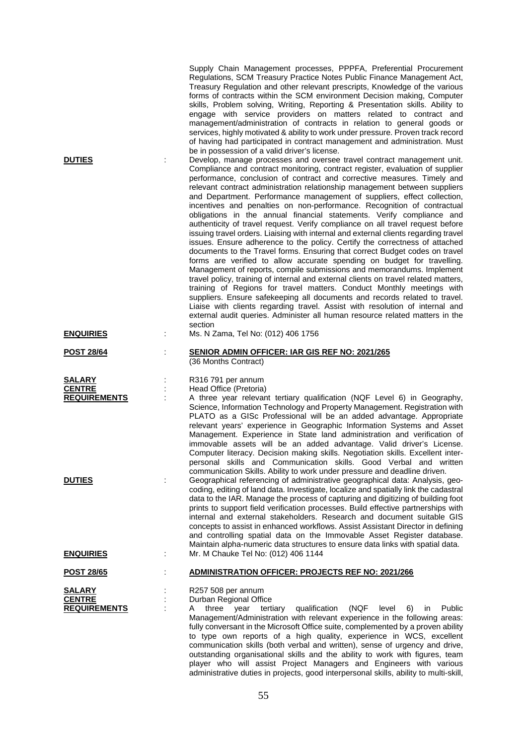| <b>DUTIES</b>                                         |   | Supply Chain Management processes, PPPFA, Preferential Procurement<br>Regulations, SCM Treasury Practice Notes Public Finance Management Act,<br>Treasury Regulation and other relevant prescripts, Knowledge of the various<br>forms of contracts within the SCM environment Decision making, Computer<br>skills, Problem solving, Writing, Reporting & Presentation skills. Ability to<br>engage with service providers on matters related to contract and<br>management/administration of contracts in relation to general goods or<br>services, highly motivated & ability to work under pressure. Proven track record<br>of having had participated in contract management and administration. Must<br>be in possession of a valid driver's license.<br>Develop, manage processes and oversee travel contract management unit.<br>Compliance and contract monitoring, contract register, evaluation of supplier<br>performance, conclusion of contract and corrective measures. Timely and<br>relevant contract administration relationship management between suppliers<br>and Department. Performance management of suppliers, effect collection,<br>incentives and penalties on non-performance. Recognition of contractual<br>obligations in the annual financial statements. Verify compliance and<br>authenticity of travel request. Verify compliance on all travel request before<br>issuing travel orders. Liaising with internal and external clients regarding travel<br>issues. Ensure adherence to the policy. Certify the correctness of attached<br>documents to the Travel forms. Ensuring that correct Budget codes on travel<br>forms are verified to allow accurate spending on budget for travelling.<br>Management of reports, compile submissions and memorandums. Implement<br>travel policy, training of internal and external clients on travel related matters,<br>training of Regions for travel matters. Conduct Monthly meetings with<br>suppliers. Ensure safekeeping all documents and records related to travel.<br>Liaise with clients regarding travel. Assist with resolution of internal and<br>external audit queries. Administer all human resource related matters in the<br>section |
|-------------------------------------------------------|---|----------------------------------------------------------------------------------------------------------------------------------------------------------------------------------------------------------------------------------------------------------------------------------------------------------------------------------------------------------------------------------------------------------------------------------------------------------------------------------------------------------------------------------------------------------------------------------------------------------------------------------------------------------------------------------------------------------------------------------------------------------------------------------------------------------------------------------------------------------------------------------------------------------------------------------------------------------------------------------------------------------------------------------------------------------------------------------------------------------------------------------------------------------------------------------------------------------------------------------------------------------------------------------------------------------------------------------------------------------------------------------------------------------------------------------------------------------------------------------------------------------------------------------------------------------------------------------------------------------------------------------------------------------------------------------------------------------------------------------------------------------------------------------------------------------------------------------------------------------------------------------------------------------------------------------------------------------------------------------------------------------------------------------------------------------------------------------------------------------------------------------------------------------------------------------------------------------------------------------|
| <b>ENQUIRIES</b>                                      | t | Ms. N Zama, Tel No: (012) 406 1756                                                                                                                                                                                                                                                                                                                                                                                                                                                                                                                                                                                                                                                                                                                                                                                                                                                                                                                                                                                                                                                                                                                                                                                                                                                                                                                                                                                                                                                                                                                                                                                                                                                                                                                                                                                                                                                                                                                                                                                                                                                                                                                                                                                               |
| <b>POST 28/64</b>                                     |   | <b>SENIOR ADMIN OFFICER: IAR GIS REF NO: 2021/265</b><br>(36 Months Contract)                                                                                                                                                                                                                                                                                                                                                                                                                                                                                                                                                                                                                                                                                                                                                                                                                                                                                                                                                                                                                                                                                                                                                                                                                                                                                                                                                                                                                                                                                                                                                                                                                                                                                                                                                                                                                                                                                                                                                                                                                                                                                                                                                    |
| <b>SALARY</b><br><b>CENTRE</b><br><b>REQUIREMENTS</b> |   | R316 791 per annum<br>Head Office (Pretoria)<br>A three year relevant tertiary qualification (NQF Level 6) in Geography,<br>Science, Information Technology and Property Management. Registration with<br>PLATO as a GISc Professional will be an added advantage. Appropriate<br>relevant years' experience in Geographic Information Systems and Asset<br>Management. Experience in State land administration and verification of<br>immovable assets will be an added advantage. Valid driver's License.<br>Computer literacy. Decision making skills. Negotiation skills. Excellent inter-<br>personal skills and Communication skills. Good Verbal and written<br>communication Skills. Ability to work under pressure and deadline driven.                                                                                                                                                                                                                                                                                                                                                                                                                                                                                                                                                                                                                                                                                                                                                                                                                                                                                                                                                                                                                                                                                                                                                                                                                                                                                                                                                                                                                                                                                 |
| <b>DUTIES</b>                                         |   | Geographical referencing of administrative geographical data: Analysis, geo-<br>coding, editing of land data. Investigate, localize and spatially link the cadastral<br>data to the IAR. Manage the process of capturing and digitizing of building foot<br>prints to support field verification processes. Build effective partnerships with<br>internal and external stakeholders. Research and document suitable GIS<br>concepts to assist in enhanced workflows. Assist Assistant Director in defining<br>and controlling spatial data on the Immovable Asset Register database.<br>Maintain alpha-numeric data structures to ensure data links with spatial data.                                                                                                                                                                                                                                                                                                                                                                                                                                                                                                                                                                                                                                                                                                                                                                                                                                                                                                                                                                                                                                                                                                                                                                                                                                                                                                                                                                                                                                                                                                                                                           |
| <b>ENQUIRIES</b>                                      |   | Mr. M Chauke Tel No: (012) 406 1144                                                                                                                                                                                                                                                                                                                                                                                                                                                                                                                                                                                                                                                                                                                                                                                                                                                                                                                                                                                                                                                                                                                                                                                                                                                                                                                                                                                                                                                                                                                                                                                                                                                                                                                                                                                                                                                                                                                                                                                                                                                                                                                                                                                              |
| <b>POST 28/65</b>                                     |   | <b>ADMINISTRATION OFFICER: PROJECTS REF NO: 2021/266</b>                                                                                                                                                                                                                                                                                                                                                                                                                                                                                                                                                                                                                                                                                                                                                                                                                                                                                                                                                                                                                                                                                                                                                                                                                                                                                                                                                                                                                                                                                                                                                                                                                                                                                                                                                                                                                                                                                                                                                                                                                                                                                                                                                                         |
| <b>SALARY</b><br><b>CENTRE</b><br><b>REQUIREMENTS</b> |   | R257 508 per annum<br>Durban Regional Office<br>qualification<br>three<br>year<br>tertiary<br>(NQF<br>level<br>6)<br><b>Public</b><br>A<br>in<br>Management/Administration with relevant experience in the following areas:<br>fully conversant in the Microsoft Office suite, complemented by a proven ability<br>to type own reports of a high quality, experience in WCS, excellent<br>communication skills (both verbal and written), sense of urgency and drive,<br>outstanding organisational skills and the ability to work with figures, team<br>player who will assist Project Managers and Engineers with various                                                                                                                                                                                                                                                                                                                                                                                                                                                                                                                                                                                                                                                                                                                                                                                                                                                                                                                                                                                                                                                                                                                                                                                                                                                                                                                                                                                                                                                                                                                                                                                                      |

administrative duties in projects, good interpersonal skills, ability to multi-skill,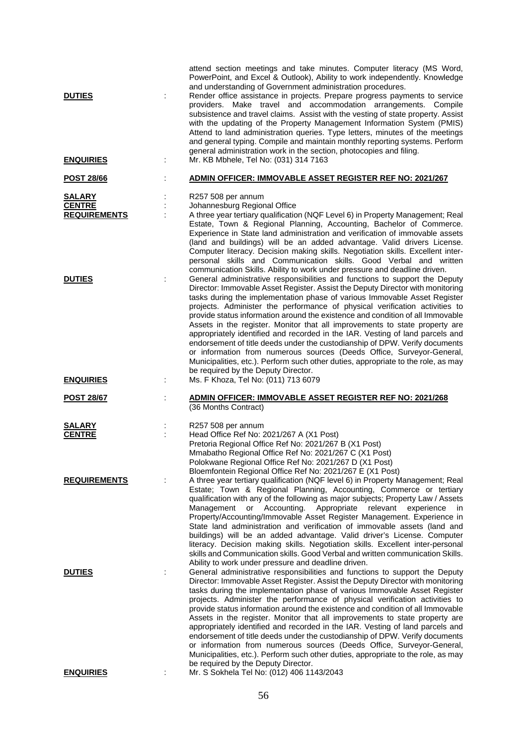| <b>DUTIES</b><br><b>ENQUIRIES</b>                     |   | attend section meetings and take minutes. Computer literacy (MS Word,<br>PowerPoint, and Excel & Outlook), Ability to work independently. Knowledge<br>and understanding of Government administration procedures.<br>Render office assistance in projects. Prepare progress payments to service<br>providers. Make travel and accommodation arrangements. Compile<br>subsistence and travel claims. Assist with the vesting of state property. Assist<br>with the updating of the Property Management Information System (PMIS)<br>Attend to land administration queries. Type letters, minutes of the meetings<br>and general typing. Compile and maintain monthly reporting systems. Perform<br>general administration work in the section, photocopies and filing.<br>Mr. KB Mbhele, Tel No: (031) 314 7163                                                  |
|-------------------------------------------------------|---|-----------------------------------------------------------------------------------------------------------------------------------------------------------------------------------------------------------------------------------------------------------------------------------------------------------------------------------------------------------------------------------------------------------------------------------------------------------------------------------------------------------------------------------------------------------------------------------------------------------------------------------------------------------------------------------------------------------------------------------------------------------------------------------------------------------------------------------------------------------------|
| <b>POST 28/66</b>                                     |   | <b>ADMIN OFFICER: IMMOVABLE ASSET REGISTER REF NO: 2021/267</b>                                                                                                                                                                                                                                                                                                                                                                                                                                                                                                                                                                                                                                                                                                                                                                                                 |
| <b>SALARY</b><br><b>CENTRE</b><br><b>REQUIREMENTS</b> | ÷ | R257 508 per annum<br>Johannesburg Regional Office<br>A three year tertiary qualification (NQF Level 6) in Property Management; Real<br>Estate, Town & Regional Planning, Accounting, Bachelor of Commerce.<br>Experience in State land administration and verification of immovable assets<br>(land and buildings) will be an added advantage. Valid drivers License.<br>Computer literacy. Decision making skills. Negotiation skills. Excellent inter-<br>personal skills and Communication skills. Good Verbal and written<br>communication Skills. Ability to work under pressure and deadline driven.                                                                                                                                                                                                                                                     |
| <b>DUTIES</b>                                         |   | General administrative responsibilities and functions to support the Deputy<br>Director: Immovable Asset Register. Assist the Deputy Director with monitoring<br>tasks during the implementation phase of various Immovable Asset Register<br>projects. Administer the performance of physical verification activities to<br>provide status information around the existence and condition of all Immovable<br>Assets in the register. Monitor that all improvements to state property are<br>appropriately identified and recorded in the IAR. Vesting of land parcels and<br>endorsement of title deeds under the custodianship of DPW. Verify documents<br>or information from numerous sources (Deeds Office, Surveyor-General,<br>Municipalities, etc.). Perform such other duties, appropriate to the role, as may<br>be required by the Deputy Director. |
| <b>ENQUIRIES</b>                                      | ÷ | Ms. F Khoza, Tel No: (011) 713 6079                                                                                                                                                                                                                                                                                                                                                                                                                                                                                                                                                                                                                                                                                                                                                                                                                             |
| <b>POST 28/67</b>                                     |   | ADMIN OFFICER: IMMOVABLE ASSET REGISTER REF NO: 2021/268<br>(36 Months Contract)                                                                                                                                                                                                                                                                                                                                                                                                                                                                                                                                                                                                                                                                                                                                                                                |
| <b>SALARY</b><br><b>CENTRE</b>                        |   | R257 508 per annum<br>Head Office Ref No: 2021/267 A (X1 Post)<br>Pretoria Regional Office Ref No: 2021/267 B (X1 Post)<br>Mmabatho Regional Office Ref No: 2021/267 C (X1 Post)<br>Polokwane Regional Office Ref No: 2021/267 D (X1 Post)                                                                                                                                                                                                                                                                                                                                                                                                                                                                                                                                                                                                                      |
| <b>REQUIREMENTS</b>                                   |   | Bloemfontein Regional Office Ref No: 2021/267 E (X1 Post)<br>A three year tertiary qualification (NQF level 6) in Property Management; Real<br>Estate; Town & Regional Planning, Accounting, Commerce or tertiary<br>qualification with any of the following as major subjects; Property Law / Assets<br>or Accounting. Appropriate relevant<br>Management<br>experience<br>in.<br>Property/Accounting/Immovable Asset Register Management. Experience in<br>State land administration and verification of immovable assets (land and<br>buildings) will be an added advantage. Valid driver's License. Computer<br>literacy. Decision making skills. Negotiation skills. Excellent inter-personal<br>skills and Communication skills. Good Verbal and written communication Skills.<br>Ability to work under pressure and deadline driven.                     |
| <b>DUTIES</b>                                         |   | General administrative responsibilities and functions to support the Deputy<br>Director: Immovable Asset Register. Assist the Deputy Director with monitoring<br>tasks during the implementation phase of various Immovable Asset Register<br>projects. Administer the performance of physical verification activities to<br>provide status information around the existence and condition of all Immovable<br>Assets in the register. Monitor that all improvements to state property are<br>appropriately identified and recorded in the IAR. Vesting of land parcels and<br>endorsement of title deeds under the custodianship of DPW. Verify documents<br>or information from numerous sources (Deeds Office, Surveyor-General,<br>Municipalities, etc.). Perform such other duties, appropriate to the role, as may<br>be required by the Deputy Director. |
| <b>ENQUIRIES</b>                                      |   | Mr. S Sokhela Tel No: (012) 406 1143/2043                                                                                                                                                                                                                                                                                                                                                                                                                                                                                                                                                                                                                                                                                                                                                                                                                       |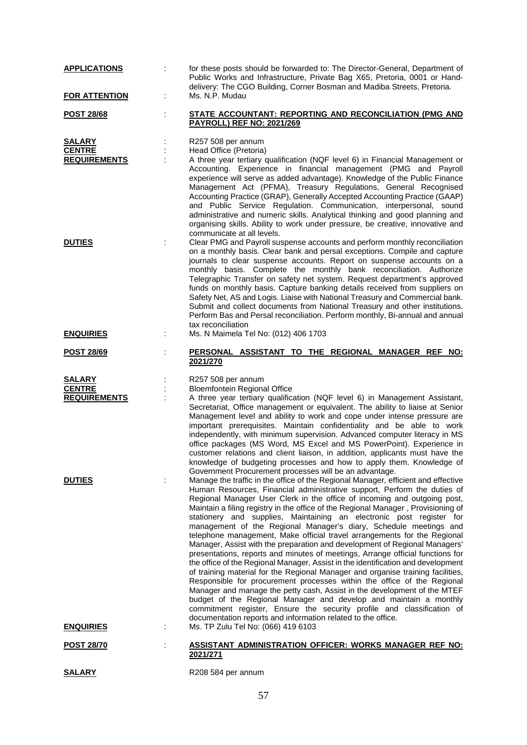| <b>APPLICATIONS</b>                                   |   | for these posts should be forwarded to: The Director-General, Department of<br>Public Works and Infrastructure, Private Bag X65, Pretoria, 0001 or Hand-<br>delivery: The CGO Building, Corner Bosman and Madiba Streets, Pretoria.                                                                                                                                                                                                                                                                                                                                                                                                                                                                                                                                                                                                                                                                                                                                                                                                                                                                                                                                                                                                                                                                                            |
|-------------------------------------------------------|---|--------------------------------------------------------------------------------------------------------------------------------------------------------------------------------------------------------------------------------------------------------------------------------------------------------------------------------------------------------------------------------------------------------------------------------------------------------------------------------------------------------------------------------------------------------------------------------------------------------------------------------------------------------------------------------------------------------------------------------------------------------------------------------------------------------------------------------------------------------------------------------------------------------------------------------------------------------------------------------------------------------------------------------------------------------------------------------------------------------------------------------------------------------------------------------------------------------------------------------------------------------------------------------------------------------------------------------|
| <b>FOR ATTENTION</b>                                  | ÷ | Ms. N.P. Mudau                                                                                                                                                                                                                                                                                                                                                                                                                                                                                                                                                                                                                                                                                                                                                                                                                                                                                                                                                                                                                                                                                                                                                                                                                                                                                                                 |
| <b>POST 28/68</b>                                     |   | STATE ACCOUNTANT: REPORTING AND RECONCILIATION (PMG AND<br><b>PAYROLL) REF NO: 2021/269</b>                                                                                                                                                                                                                                                                                                                                                                                                                                                                                                                                                                                                                                                                                                                                                                                                                                                                                                                                                                                                                                                                                                                                                                                                                                    |
| <u>SALARY</u><br><b>CENTRE</b><br><b>REQUIREMENTS</b> |   | R257 508 per annum<br>Head Office (Pretoria)<br>A three year tertiary qualification (NQF level 6) in Financial Management or<br>Accounting. Experience in financial management (PMG and Payroll<br>experience will serve as added advantage). Knowledge of the Public Finance<br>Management Act (PFMA), Treasury Regulations, General Recognised<br>Accounting Practice (GRAP), Generally Accepted Accounting Practice (GAAP)<br>and Public Service Regulation. Communication, interpersonal, sound<br>administrative and numeric skills. Analytical thinking and good planning and<br>organising skills. Ability to work under pressure, be creative, innovative and                                                                                                                                                                                                                                                                                                                                                                                                                                                                                                                                                                                                                                                          |
| <b>DUTIES</b>                                         |   | communicate at all levels.<br>Clear PMG and Payroll suspense accounts and perform monthly reconciliation<br>on a monthly basis. Clear bank and persal exceptions. Compile and capture<br>journals to clear suspense accounts. Report on suspense accounts on a<br>monthly basis. Complete the monthly bank reconciliation. Authorize<br>Telegraphic Transfer on safety net system. Request department's approved<br>funds on monthly basis. Capture banking details received from suppliers on<br>Safety Net, AS and Logis. Liaise with National Treasury and Commercial bank.<br>Submit and collect documents from National Treasury and other institutions.<br>Perform Bas and Persal reconciliation. Perform monthly, Bi-annual and annual<br>tax reconciliation                                                                                                                                                                                                                                                                                                                                                                                                                                                                                                                                                            |
| <b>ENQUIRIES</b>                                      |   | Ms. N Maimela Tel No: (012) 406 1703                                                                                                                                                                                                                                                                                                                                                                                                                                                                                                                                                                                                                                                                                                                                                                                                                                                                                                                                                                                                                                                                                                                                                                                                                                                                                           |
| <u>POST 28/69</u>                                     |   | PERSONAL ASSISTANT TO THE REGIONAL MANAGER REF NO:<br>2021/270                                                                                                                                                                                                                                                                                                                                                                                                                                                                                                                                                                                                                                                                                                                                                                                                                                                                                                                                                                                                                                                                                                                                                                                                                                                                 |
|                                                       |   |                                                                                                                                                                                                                                                                                                                                                                                                                                                                                                                                                                                                                                                                                                                                                                                                                                                                                                                                                                                                                                                                                                                                                                                                                                                                                                                                |
| <b>SALARY</b><br><b>CENTRE</b><br><b>REQUIREMENTS</b> |   | R257 508 per annum<br><b>Bloemfontein Regional Office</b><br>A three year tertiary qualification (NQF level 6) in Management Assistant,<br>Secretariat, Office management or equivalent. The ability to liaise at Senior<br>Management level and ability to work and cope under intense pressure are<br>important prerequisites. Maintain confidentiality and be able to work<br>independently, with minimum supervision. Advanced computer literacy in MS<br>office packages (MS Word, MS Excel and MS PowerPoint). Experience in<br>customer relations and client liaison, in addition, applicants must have the<br>knowledge of budgeting processes and how to apply them. Knowledge of                                                                                                                                                                                                                                                                                                                                                                                                                                                                                                                                                                                                                                     |
| <b>DUTIES</b>                                         |   | Government Procurement processes will be an advantage.<br>Manage the traffic in the office of the Regional Manager, efficient and effective<br>Human Resources, Financial administrative support, Perform the duties of<br>Regional Manager User Clerk in the office of incoming and outgoing post,<br>Maintain a filing registry in the office of the Regional Manager, Provisioning of<br>stationery and supplies, Maintaining an electronic post register for<br>management of the Regional Manager's diary, Schedule meetings and<br>telephone management, Make official travel arrangements for the Regional<br>Manager, Assist with the preparation and development of Regional Managers'<br>presentations, reports and minutes of meetings, Arrange official functions for<br>the office of the Regional Manager, Assist in the identification and development<br>of training material for the Regional Manager and organise training facilities,<br>Responsible for procurement processes within the office of the Regional<br>Manager and manage the petty cash, Assist in the development of the MTEF<br>budget of the Regional Manager and develop and maintain a monthly<br>commitment register, Ensure the security profile and classification of<br>documentation reports and information related to the office. |
| <b>ENQUIRIES</b>                                      |   | Ms. TP Zulu Tel No: (066) 419 6103                                                                                                                                                                                                                                                                                                                                                                                                                                                                                                                                                                                                                                                                                                                                                                                                                                                                                                                                                                                                                                                                                                                                                                                                                                                                                             |
| <u>POST 28/70</u>                                     |   | <b>ASSISTANT ADMINISTRATION OFFICER: WORKS MANAGER REF NO:</b><br>2021/271                                                                                                                                                                                                                                                                                                                                                                                                                                                                                                                                                                                                                                                                                                                                                                                                                                                                                                                                                                                                                                                                                                                                                                                                                                                     |

# 57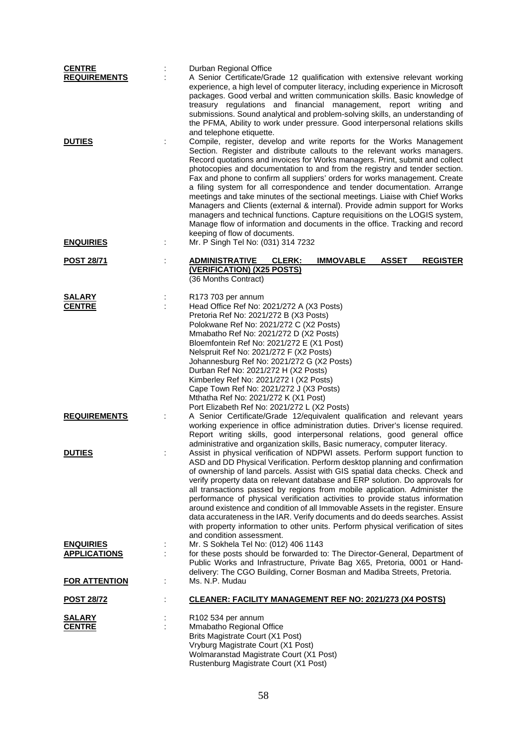| <b>CENTRE</b>        | Durban Regional Office                                                                                                                                          |
|----------------------|-----------------------------------------------------------------------------------------------------------------------------------------------------------------|
| <b>REQUIREMENTS</b>  | A Senior Certificate/Grade 12 qualification with extensive relevant working<br>experience, a high level of computer literacy, including experience in Microsoft |
|                      | packages. Good verbal and written communication skills. Basic knowledge of                                                                                      |
|                      | treasury regulations and financial management, report writing and                                                                                               |
|                      | submissions. Sound analytical and problem-solving skills, an understanding of                                                                                   |
|                      | the PFMA, Ability to work under pressure. Good interpersonal relations skills<br>and telephone etiquette.                                                       |
| <b>DUTIES</b>        | Compile, register, develop and write reports for the Works Management                                                                                           |
|                      | Section. Register and distribute callouts to the relevant works managers.                                                                                       |
|                      | Record quotations and invoices for Works managers. Print, submit and collect                                                                                    |
|                      | photocopies and documentation to and from the registry and tender section.                                                                                      |
|                      | Fax and phone to confirm all suppliers' orders for works management. Create<br>a filing system for all correspondence and tender documentation. Arrange         |
|                      | meetings and take minutes of the sectional meetings. Liaise with Chief Works                                                                                    |
|                      | Managers and Clients (external & internal). Provide admin support for Works                                                                                     |
|                      | managers and technical functions. Capture requisitions on the LOGIS system,                                                                                     |
|                      | Manage flow of information and documents in the office. Tracking and record<br>keeping of flow of documents.                                                    |
| <b>ENQUIRIES</b>     | Mr. P Singh Tel No: (031) 314 7232                                                                                                                              |
|                      |                                                                                                                                                                 |
| <b>POST 28/71</b>    | <b>ADMINISTRATIVE</b><br><b>CLERK:</b><br><b>ASSET</b><br><b>REGISTER</b><br><b>IMMOVABLE</b><br>(VERIFICATION) (X25 POSTS)                                     |
|                      | (36 Months Contract)                                                                                                                                            |
|                      |                                                                                                                                                                 |
| <b>SALARY</b>        | R173 703 per annum                                                                                                                                              |
| <b>CENTRE</b>        | Head Office Ref No: 2021/272 A (X3 Posts)<br>Pretoria Ref No: 2021/272 B (X3 Posts)                                                                             |
|                      | Polokwane Ref No: 2021/272 C (X2 Posts)                                                                                                                         |
|                      | Mmabatho Ref No: 2021/272 D (X2 Posts)                                                                                                                          |
|                      | Bloemfontein Ref No: 2021/272 E (X1 Post)                                                                                                                       |
|                      | Nelspruit Ref No: 2021/272 F (X2 Posts)<br>Johannesburg Ref No: 2021/272 G (X2 Posts)                                                                           |
|                      | Durban Ref No: 2021/272 H (X2 Posts)                                                                                                                            |
|                      | Kimberley Ref No: 2021/272 I (X2 Posts)                                                                                                                         |
|                      | Cape Town Ref No: 2021/272 J (X3 Posts)                                                                                                                         |
|                      | Mthatha Ref No: 2021/272 K (X1 Post)<br>Port Elizabeth Ref No: 2021/272 L (X2 Posts)                                                                            |
| <b>REQUIREMENTS</b>  | A Senior Certificate/Grade 12/equivalent qualification and relevant years                                                                                       |
|                      | working experience in office administration duties. Driver's license required.                                                                                  |
|                      | Report writing skills, good interpersonal relations, good general office<br>administrative and organization skills, Basic numeracy, computer literacy.          |
| <b>DUTIES</b>        | Assist in physical verification of NDPWI assets. Perform support function to                                                                                    |
|                      | ASD and DD Physical Verification. Perform desktop planning and confirmation                                                                                     |
|                      | of ownership of land parcels. Assist with GIS spatial data checks. Check and                                                                                    |
|                      | verify property data on relevant database and ERP solution. Do approvals for<br>all transactions passed by regions from mobile application. Administer the      |
|                      | performance of physical verification activities to provide status information                                                                                   |
|                      | around existence and condition of all Immovable Assets in the register. Ensure                                                                                  |
|                      | data accurateness in the IAR. Verify documents and do deeds searches. Assist                                                                                    |
|                      | with property information to other units. Perform physical verification of sites<br>and condition assessment.                                                   |
| <b>ENQUIRIES</b>     | Mr. S Sokhela Tel No: (012) 406 1143                                                                                                                            |
| <b>APPLICATIONS</b>  | for these posts should be forwarded to: The Director-General, Department of                                                                                     |
|                      | Public Works and Infrastructure, Private Bag X65, Pretoria, 0001 or Hand-                                                                                       |
| <b>FOR ATTENTION</b> | delivery: The CGO Building, Corner Bosman and Madiba Streets, Pretoria.<br>Ms. N.P. Mudau                                                                       |
|                      |                                                                                                                                                                 |
| <b>POST 28/72</b>    | <b>CLEANER: FACILITY MANAGEMENT REF NO: 2021/273 (X4 POSTS)</b>                                                                                                 |
| <b>SALARY</b>        | R <sub>102</sub> 534 per annum                                                                                                                                  |
| <b>CENTRE</b>        | Mmabatho Regional Office                                                                                                                                        |
|                      | Brits Magistrate Court (X1 Post)                                                                                                                                |
|                      | Vryburg Magistrate Court (X1 Post)<br>Wolmaranstad Magistrate Court (X1 Post)                                                                                   |
|                      | Rustenburg Magistrate Court (X1 Post)                                                                                                                           |